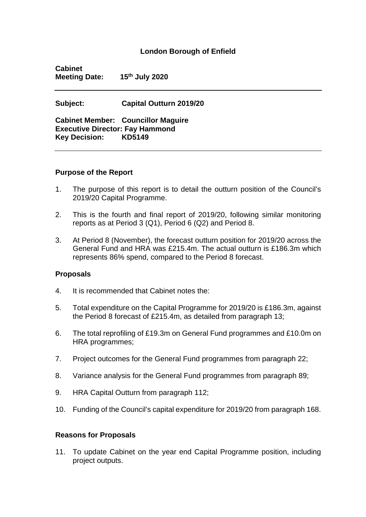#### **London Borough of Enfield**

**Cabinet Meeting Date: 15th July 2020**

**Subject: Capital Outturn 2019/20**

**Cabinet Member: Councillor Maguire Executive Director: Fay Hammond Key Decision: KD5149**

#### **Purpose of the Report**

- 1. The purpose of this report is to detail the outturn position of the Council's 2019/20 Capital Programme.
- 2. This is the fourth and final report of 2019/20, following similar monitoring reports as at Period 3 (Q1), Period 6 (Q2) and Period 8.
- 3. At Period 8 (November), the forecast outturn position for 2019/20 across the General Fund and HRA was £215.4m. The actual outturn is £186.3m which represents 86% spend, compared to the Period 8 forecast.

#### **Proposals**

- 4. It is recommended that Cabinet notes the:
- 5. Total expenditure on the Capital Programme for 2019/20 is £186.3m, against the Period 8 forecast of £215.4m, as detailed from paragraph 13;
- 6. The total reprofiling of £19.3m on General Fund programmes and £10.0m on HRA programmes;
- 7. Project outcomes for the General Fund programmes from paragraph 22;
- 8. Variance analysis for the General Fund programmes from paragraph 89;
- 9. HRA Capital Outturn from paragraph 112;
- 10. Funding of the Council's capital expenditure for 2019/20 from paragraph 168.

#### **Reasons for Proposals**

11. To update Cabinet on the year end Capital Programme position, including project outputs.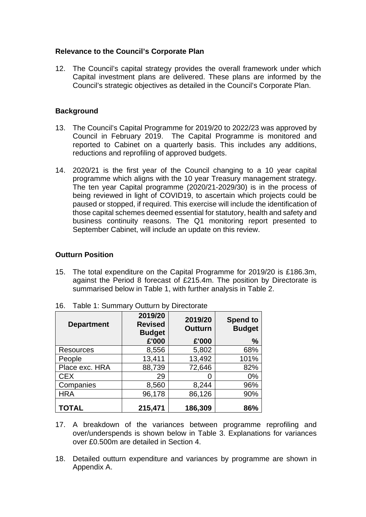#### **Relevance to the Council's Corporate Plan**

12. The Council's capital strategy provides the overall framework under which Capital investment plans are delivered. These plans are informed by the Council's strategic objectives as detailed in the Council's Corporate Plan.

### **Background**

- 13. The Council's Capital Programme for 2019/20 to 2022/23 was approved by Council in February 2019. The Capital Programme is monitored and reported to Cabinet on a quarterly basis. This includes any additions, reductions and reprofiling of approved budgets.
- 14. 2020/21 is the first year of the Council changing to a 10 year capital programme which aligns with the 10 year Treasury management strategy. The ten year Capital programme (2020/21-2029/30) is in the process of being reviewed in light of COVID19, to ascertain which projects could be paused or stopped, if required. This exercise will include the identification of those capital schemes deemed essential for statutory, health and safety and business continuity reasons. The Q1 monitoring report presented to September Cabinet, will include an update on this review.

### **Outturn Position**

15. The total expenditure on the Capital Programme for 2019/20 is £186.3m, against the Period 8 forecast of £215.4m. The position by Directorate is summarised below in Table 1, with further analysis in Table 2.

| <b>Department</b> | 2019/20<br><b>Revised</b><br><b>Budget</b><br>£'000 | 2019/20<br><b>Outturn</b><br>£'000 | <b>Spend to</b><br><b>Budget</b><br>$\frac{0}{0}$ |
|-------------------|-----------------------------------------------------|------------------------------------|---------------------------------------------------|
| Resources         | 8,556                                               | 5,802                              | 68%                                               |
| People            | 13,411                                              | 13,492                             | 101%                                              |
| Place exc. HRA    | 88,739                                              | 72,646                             | 82%                                               |
| <b>CEX</b>        | 29                                                  |                                    | $0\%$                                             |
| Companies         | 8,560                                               | 8,244                              | 96%                                               |
| <b>HRA</b>        | 96,178                                              | 86,126                             | 90%                                               |
| TOTAL             | 215,471                                             | 186,309                            | 86%                                               |

16. Table 1: Summary Outturn by Directorate

- 17. A breakdown of the variances between programme reprofiling and over/underspends is shown below in Table 3. Explanations for variances over £0.500m are detailed in Section 4.
- 18. Detailed outturn expenditure and variances by programme are shown in Appendix A.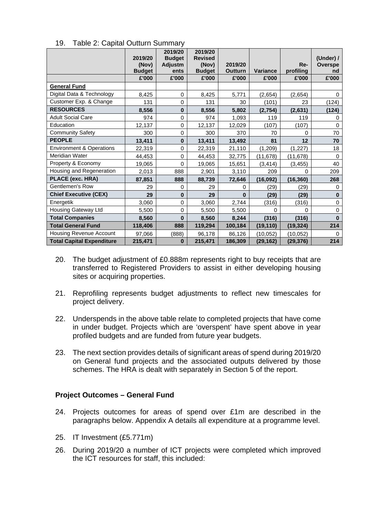|                                     | 2019/20<br>(Nov)<br><b>Budget</b> | 2019/20<br><b>Budget</b><br>Adjustm<br>ents | 2019/20<br><b>Revised</b><br>(Nov)<br><b>Budget</b> | 2019/20<br><b>Outturn</b> | <b>Variance</b> | Re-<br>profiling | (Under) /<br>Overspe<br>nd |
|-------------------------------------|-----------------------------------|---------------------------------------------|-----------------------------------------------------|---------------------------|-----------------|------------------|----------------------------|
|                                     | £'000                             | £'000                                       | £'000                                               | £'000                     | £'000           | £'000            | £'000                      |
| <b>General Fund</b>                 |                                   |                                             |                                                     |                           |                 |                  |                            |
| Digital Data & Technology           | 8,425                             | 0                                           | 8,425                                               | 5,771                     | (2,654)         | (2,654)          | $\mathbf 0$                |
| Customer Exp. & Change              | 131                               | 0                                           | 131                                                 | 30                        | (101)           | 23               | (124)                      |
| <b>RESOURCES</b>                    | 8,556                             | $\mathbf{0}$                                | 8,556                                               | 5,802                     | (2,754)         | (2,631)          | (124)                      |
| <b>Adult Social Care</b>            | 974                               | $\mathbf 0$                                 | 974                                                 | 1,093                     | 119             | 119              | 0                          |
| Education                           | 12,137                            | 0                                           | 12,137                                              | 12,029                    | (107)           | (107)            | $\Omega$                   |
| <b>Community Safety</b>             | 300                               | $\mathbf 0$                                 | 300                                                 | 370                       | 70              | $\Omega$         | 70                         |
| <b>PEOPLE</b>                       | 13,411                            | $\mathbf 0$                                 | 13,411                                              | 13,492                    | 81              | 12               | 70                         |
| <b>Environment &amp; Operations</b> | 22,319                            | $\mathbf 0$                                 | 22,319                                              | 21,110                    | (1, 209)        | (1, 227)         | 18                         |
| Meridian Water                      | 44,453                            | $\mathbf 0$                                 | 44,453                                              | 32,775                    | (11, 678)       | (11, 678)        | $\Omega$                   |
| Property & Economy                  | 19,065                            | 0                                           | 19,065                                              | 15,651                    | (3, 414)        | (3, 455)         | 40                         |
| Housing and Regeneration            | 2,013                             | 888                                         | 2,901                                               | 3,110                     | 209             | 0                | 209                        |
| PLACE (exc. HRA)                    | 87,851                            | 888                                         | 88,739                                              | 72,646                    | (16, 092)       | (16, 360)        | 268                        |
| <b>Gentlemen's Row</b>              | 29                                | 0                                           | 29                                                  | 0                         | (29)            | (29)             | $\mathbf 0$                |
| <b>Chief Executive (CEX)</b>        | 29                                | $\mathbf{0}$                                | 29                                                  | $\bf{0}$                  | (29)            | (29)             | $\mathbf 0$                |
| Energetik                           | 3,060                             | $\mathbf 0$                                 | 3,060                                               | 2,744                     | (316)           | (316)            | $\mathbf 0$                |
| Housing Gateway Ltd                 | 5,500                             | $\mathbf 0$                                 | 5,500                                               | 5,500                     | $\Omega$        | $\Omega$         | $\mathbf 0$                |
| <b>Total Companies</b>              | 8,560                             | 0                                           | 8,560                                               | 8,244                     | (316)           | (316)            | $\bf{0}$                   |
| <b>Total General Fund</b>           | 118,406                           | 888                                         | 119,294                                             | 100,184                   | (19, 110)       | (19, 324)        | 214                        |
| Housing Revenue Account             | 97,066                            | (888)                                       | 96,178                                              | 86,126                    | (10, 052)       | (10, 052)        | $\Omega$                   |
| <b>Total Capital Expenditure</b>    | 215,471                           | 0                                           | 215,471                                             | 186,309                   | (29, 162)       | (29, 376)        | 214                        |

19. Table 2: Capital Outturn Summary

- 20. The budget adjustment of £0.888m represents right to buy receipts that are transferred to Registered Providers to assist in either developing housing sites or acquiring properties.
- 21. Reprofiling represents budget adjustments to reflect new timescales for project delivery.
- 22. Underspends in the above table relate to completed projects that have come in under budget. Projects which are 'overspent' have spent above in year profiled budgets and are funded from future year budgets.
- 23. The next section provides details of significant areas of spend during 2019/20 on General fund projects and the associated outputs delivered by those schemes. The HRA is dealt with separately in Section 5 of the report.

#### **Project Outcomes – General Fund**

- 24. Projects outcomes for areas of spend over £1m are described in the paragraphs below. Appendix A details all expenditure at a programme level.
- 25. IT Investment (£5.771m)
- 26. During 2019/20 a number of ICT projects were completed which improved the ICT resources for staff, this included: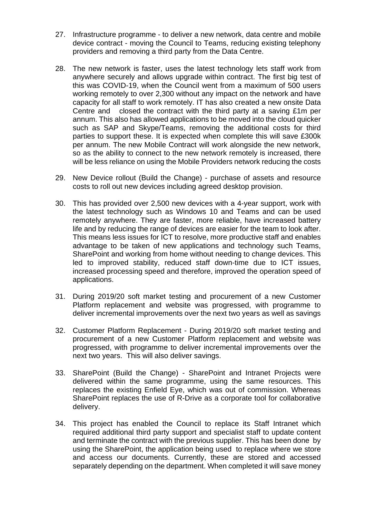- 27. Infrastructure programme to deliver a new network, data centre and mobile device contract - moving the Council to Teams, reducing existing telephony providers and removing a third party from the Data Centre.
- 28. The new network is faster, uses the latest technology lets staff work from anywhere securely and allows upgrade within contract. The first big test of this was COVID-19, when the Council went from a maximum of 500 users working remotely to over 2,300 without any impact on the network and have capacity for all staff to work remotely. IT has also created a new onsite Data Centre and closed the contract with the third party at a saving £1m per annum. This also has allowed applications to be moved into the cloud quicker such as SAP and Skype/Teams, removing the additional costs for third parties to support these. It is expected when complete this will save £300k per annum. The new Mobile Contract will work alongside the new network, so as the ability to connect to the new network remotely is increased, there will be less reliance on using the Mobile Providers network reducing the costs
- 29. New Device rollout (Build the Change) purchase of assets and resource costs to roll out new devices including agreed desktop provision.
- 30. This has provided over 2,500 new devices with a 4-year support, work with the latest technology such as Windows 10 and Teams and can be used remotely anywhere. They are faster, more reliable, have increased battery life and by reducing the range of devices are easier for the team to look after. This means less issues for ICT to resolve, more productive staff and enables advantage to be taken of new applications and technology such Teams, SharePoint and working from home without needing to change devices. This led to improved stability, reduced staff down-time due to ICT issues, increased processing speed and therefore, improved the operation speed of applications.
- 31. During 2019/20 soft market testing and procurement of a new Customer Platform replacement and website was progressed, with programme to deliver incremental improvements over the next two years as well as savings
- 32. Customer Platform Replacement During 2019/20 soft market testing and procurement of a new Customer Platform replacement and website was progressed, with programme to deliver incremental improvements over the next two years. This will also deliver savings.
- 33. SharePoint (Build the Change) SharePoint and Intranet Projects were delivered within the same programme, using the same resources. This replaces the existing Enfield Eye, which was out of commission. Whereas SharePoint replaces the use of R-Drive as a corporate tool for collaborative delivery.
- 34. This project has enabled the Council to replace its Staff Intranet which required additional third party support and specialist staff to update content and terminate the contract with the previous supplier. This has been done by using the SharePoint, the application being used to replace where we store and access our documents. Currently, these are stored and accessed separately depending on the department. When completed it will save money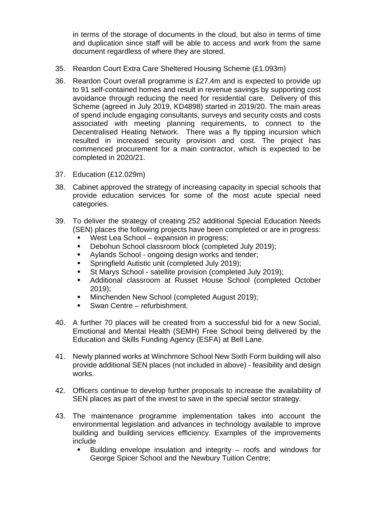in terms of the storage of documents in the cloud, but also in terms of time and duplication since staff will be able to access and work from the same document regardless of where they are stored.

- 35. Reardon Court Extra Care Sheltered Housing Scheme (£1.093m)
- 36. Reardon Court overall programme is £27.4m and is expected to provide up to 91 self-contained homes and result in revenue savings by supporting cost avoidance through reducing the need for residential care. Delivery of this Scheme (agreed in July 2019, KD4898) started in 2019/20. The main areas of spend include engaging consultants, surveys and security costs and costs associated with meeting planning requirements, to connect to the Decentralised Heating Network. There was a fly tipping incursion which resulted in increased security provision and cost. The project has commenced procurement for a main contractor, which is expected to be completed in 2020/21.
- 37. Education (£12.029m)
- 38. Cabinet approved the strategy of increasing capacity in special schools that provide education services for some of the most acute special need categories.
- 39. To deliver the strategy of creating 252 additional Special Education Needs (SEN) places the following projects have been completed or are in progress:
	- West Lea School expansion in progress;
	- Debohun School classroom block (completed July 2019);
	- Aylands School ongoing design works and tender;
	- **Springfield Autistic unit (completed July 2019);**
	- St Marys School satellite provision (completed July 2019);
	- Additional classroom at Russet House School (completed October 2019);
	- **Minchenden New School (completed August 2019);**
	- **Swan Centre refurbishment.**
- 40. A further 70 places will be created from a successful bid for a new Social, Emotional and Mental Health (SEMH) Free School being delivered by the Education and Skills Funding Agency (ESFA) at Bell Lane.
- 41. Newly planned works at Winchmore School New Sixth Form building will also provide additional SEN places (not included in above) - feasibility and design works.
- 42. Officers continue to develop further proposals to increase the availability of SEN places as part of the invest to save in the special sector strategy.
- 43. The maintenance programme implementation takes into account the environmental legislation and advances in technology available to improve building and building services efficiency. Examples of the improvements include
	- Building envelope insulation and integrity roofs and windows for George Spicer School and the Newbury Tuition Centre;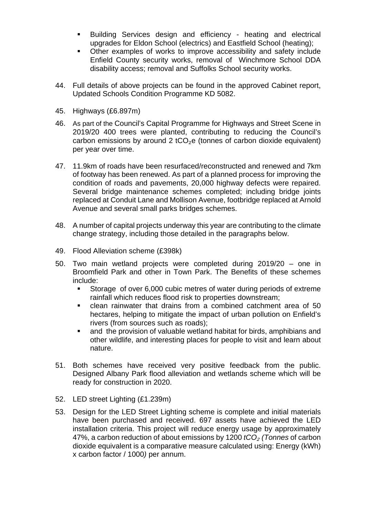- Building Services design and efficiency heating and electrical upgrades for Eldon School (electrics) and Eastfield School (heating);
- Other examples of works to improve accessibility and safety include Enfield County security works, removal of Winchmore School DDA disability access; removal and Suffolks School security works.
- 44. Full details of above projects can be found in the approved Cabinet report, Updated Schools Condition Programme KD 5082.
- 45. Highways (£6.897m)
- 46. As part of the Council's Capital Programme for Highways and Street Scene in 2019/20 400 trees were planted, contributing to reducing the Council's carbon emissions by around 2  $tCO<sub>2</sub>e$  (tonnes of carbon dioxide equivalent) per year over time.
- 47. 11.9km of roads have been resurfaced/reconstructed and renewed and 7km of footway has been renewed. As part of a planned process for improving the condition of roads and pavements, 20,000 highway defects were repaired. Several bridge maintenance schemes completed; including bridge joints replaced at Conduit Lane and Mollison Avenue, footbridge replaced at Arnold Avenue and several small parks bridges schemes.
- 48. A number of capital projects underway this year are contributing to the climate change strategy, including those detailed in the paragraphs below.
- 49. Flood Alleviation scheme (£398k)
- 50. Two main wetland projects were completed during 2019/20 one in Broomfield Park and other in Town Park. The Benefits of these schemes include:
	- Storage of over 6,000 cubic metres of water during periods of extreme rainfall which reduces flood risk to properties downstream;
	- clean rainwater that drains from a combined catchment area of 50 hectares, helping to mitigate the impact of urban pollution on Enfield's rivers (from sources such as roads);
	- and the provision of valuable wetland habitat for birds, amphibians and other wildlife, and interesting places for people to visit and learn about nature.
- 51. Both schemes have received very positive feedback from the public. Designed Albany Park flood alleviation and wetlands scheme which will be ready for construction in 2020.
- 52. LED street Lighting (£1.239m)
- 53. Design for the LED Street Lighting scheme is complete and initial materials have been purchased and received. 697 assets have achieved the LED installation criteria. This project will reduce energy usage by approximately 47%, a carbon reduction of about emissions by 1200 *tCO*<sup>₂</sup> *(Tonnes* of carbon dioxide equivalent is a comparative measure calculated using: Energy (kWh) x carbon factor / 1000*)* per annum.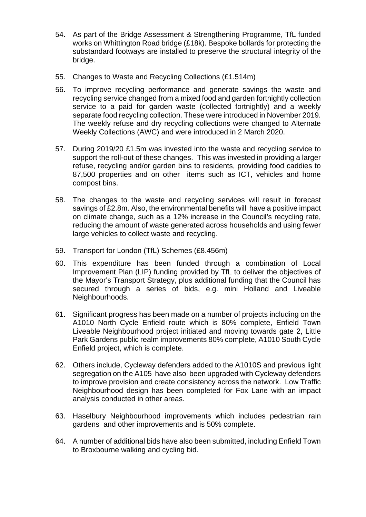- 54. As part of the Bridge Assessment & Strengthening Programme, TfL funded works on Whittington Road bridge (£18k). Bespoke bollards for protecting the substandard footways are installed to preserve the structural integrity of the bridge.
- 55. Changes to Waste and Recycling Collections (£1.514m)
- 56. To improve recycling performance and generate savings the waste and recycling service changed from a mixed food and garden fortnightly collection service to a paid for garden waste (collected fortnightly) and a weekly separate food recycling collection. These were introduced in November 2019. The weekly refuse and dry recycling collections were changed to Alternate Weekly Collections (AWC) and were introduced in 2 March 2020.
- 57. During 2019/20 £1.5m was invested into the waste and recycling service to support the roll-out of these changes. This was invested in providing a larger refuse, recycling and/or garden bins to residents, providing food caddies to 87,500 properties and on other items such as ICT, vehicles and home compost bins.
- 58. The changes to the waste and recycling services will result in forecast savings of £2.8m. Also, the environmental benefits will have a positive impact on climate change, such as a 12% increase in the Council's recycling rate, reducing the amount of waste generated across households and using fewer large vehicles to collect waste and recycling.
- 59. Transport for London (TfL) Schemes (£8.456m)
- 60. This expenditure has been funded through a combination of Local Improvement Plan (LIP) funding provided by TfL to deliver the objectives of the Mayor's Transport Strategy, plus additional funding that the Council has secured through a series of bids, e.g. mini Holland and Liveable Neighbourhoods.
- 61. Significant progress has been made on a number of projects including on the A1010 North Cycle Enfield route which is 80% complete, Enfield Town Liveable Neighbourhood project initiated and moving towards gate 2, Little Park Gardens public realm improvements 80% complete, A1010 South Cycle Enfield project, which is complete.
- 62. Others include, Cycleway defenders added to the A1010S and previous light segregation on the A105 have also been upgraded with Cycleway defenders to improve provision and create consistency across the network. Low Traffic Neighbourhood design has been completed for Fox Lane with an impact analysis conducted in other areas.
- 63. Haselbury Neighbourhood improvements which includes pedestrian rain gardens and other improvements and is 50% complete.
- 64. A number of additional bids have also been submitted, including Enfield Town to Broxbourne walking and cycling bid.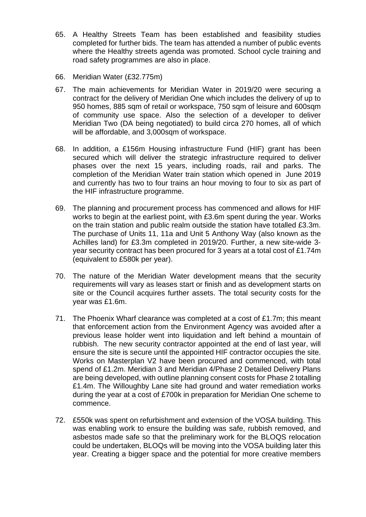- 65. A Healthy Streets Team has been established and feasibility studies completed for further bids. The team has attended a number of public events where the Healthy streets agenda was promoted. School cycle training and road safety programmes are also in place.
- 66. Meridian Water (£32.775m)
- 67. The main achievements for Meridian Water in 2019/20 were securing a contract for the delivery of Meridian One which includes the delivery of up to 950 homes, 885 sqm of retail or workspace, 750 sqm of leisure and 600sqm of community use space. Also the selection of a developer to deliver Meridian Two (DA being negotiated) to build circa 270 homes, all of which will be affordable, and 3,000sqm of workspace.
- 68. In addition, a £156m Housing infrastructure Fund (HIF) grant has been secured which will deliver the strategic infrastructure required to deliver phases over the next 15 years, including roads, rail and parks. The completion of the Meridian Water train station which opened in June 2019 and currently has two to four trains an hour moving to four to six as part of the HIF infrastructure programme.
- 69. The planning and procurement process has commenced and allows for HIF works to begin at the earliest point, with £3.6m spent during the year. Works on the train station and public realm outside the station have totalled £3.3m. The purchase of Units 11, 11a and Unit 5 Anthony Way (also known as the Achilles land) for £3.3m completed in 2019/20. Further, a new site-wide 3 year security contract has been procured for 3 years at a total cost of £1.74m (equivalent to £580k per year).
- 70. The nature of the Meridian Water development means that the security requirements will vary as leases start or finish and as development starts on site or the Council acquires further assets. The total security costs for the year was £1.6m.
- 71. The Phoenix Wharf clearance was completed at a cost of £1.7m; this meant that enforcement action from the Environment Agency was avoided after a previous lease holder went into liquidation and left behind a mountain of rubbish. The new security contractor appointed at the end of last year, will ensure the site is secure until the appointed HIF contractor occupies the site. Works on Masterplan V2 have been procured and commenced, with total spend of £1.2m. Meridian 3 and Meridian 4/Phase 2 Detailed Delivery Plans are being developed, with outline planning consent costs for Phase 2 totalling £1.4m. The Willoughby Lane site had ground and water remediation works during the year at a cost of £700k in preparation for Meridian One scheme to commence.
- 72. £550k was spent on refurbishment and extension of the VOSA building. This was enabling work to ensure the building was safe, rubbish removed, and asbestos made safe so that the preliminary work for the BLOQS relocation could be undertaken, BLOQs will be moving into the VOSA building later this year. Creating a bigger space and the potential for more creative members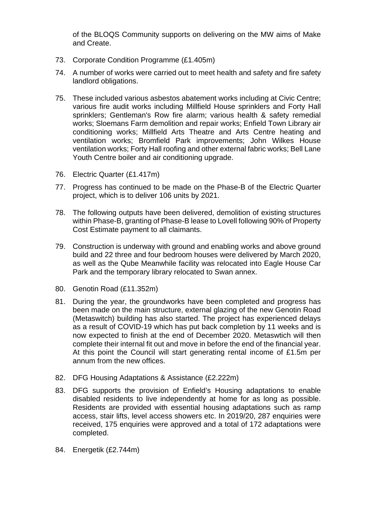of the BLOQS Community supports on delivering on the MW aims of Make and Create.

- 73. Corporate Condition Programme (£1.405m)
- 74. A number of works were carried out to meet health and safety and fire safety landlord obligations.
- 75. These included various asbestos abatement works including at Civic Centre; various fire audit works including Millfield House sprinklers and Forty Hall sprinklers; Gentleman's Row fire alarm; various health & safety remedial works; Sloemans Farm demolition and repair works; Enfield Town Library air conditioning works; Millfield Arts Theatre and Arts Centre heating and ventilation works; Bromfield Park improvements; John Wilkes House ventilation works; Forty Hall roofing and other external fabric works; Bell Lane Youth Centre boiler and air conditioning upgrade.
- 76. Electric Quarter (£1.417m)
- 77. Progress has continued to be made on the Phase-B of the Electric Quarter project, which is to deliver 106 units by 2021.
- 78. The following outputs have been delivered, demolition of existing structures within Phase-B, granting of Phase-B lease to Lovell following 90% of Property Cost Estimate payment to all claimants.
- 79. Construction is underway with ground and enabling works and above ground build and 22 three and four bedroom houses were delivered by March 2020, as well as the Qube Meanwhile facility was relocated into Eagle House Car Park and the temporary library relocated to Swan annex.
- 80. Genotin Road (£11.352m)
- 81. During the year, the groundworks have been completed and progress has been made on the main structure, external glazing of the new Genotin Road (Metaswitch) building has also started. The project has experienced delays as a result of COVID-19 which has put back completion by 11 weeks and is now expected to finish at the end of December 2020. Metaswtich will then complete their internal fit out and move in before the end of the financial year. At this point the Council will start generating rental income of £1.5m per annum from the new offices.
- 82. DFG Housing Adaptations & Assistance (£2.222m)
- 83. DFG supports the provision of Enfield's Housing adaptations to enable disabled residents to live independently at home for as long as possible. Residents are provided with essential housing adaptations such as ramp access, stair lifts, level access showers etc. In 2019/20, 287 enquiries were received, 175 enquiries were approved and a total of 172 adaptations were completed.
- 84. Energetik (£2.744m)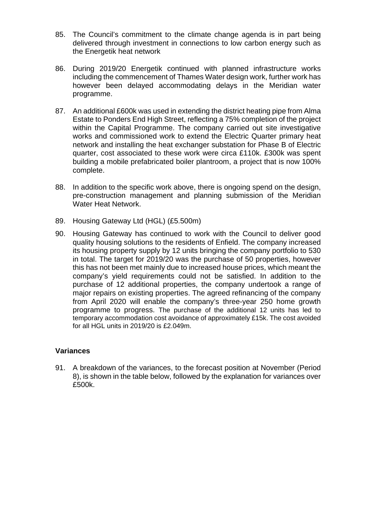- 85. The Council's commitment to the climate change agenda is in part being delivered through investment in connections to low carbon energy such as the Energetik heat network
- 86. During 2019/20 Energetik continued with planned infrastructure works including the commencement of Thames Water design work, further work has however been delayed accommodating delays in the Meridian water programme.
- 87. An additional £600k was used in extending the district heating pipe from Alma Estate to Ponders End High Street, reflecting a 75% completion of the project within the Capital Programme. The company carried out site investigative works and commissioned work to extend the Electric Quarter primary heat network and installing the heat exchanger substation for Phase B of Electric quarter, cost associated to these work were circa £110k. £300k was spent building a mobile prefabricated boiler plantroom, a project that is now 100% complete.
- 88. In addition to the specific work above, there is ongoing spend on the design, pre-construction management and planning submission of the Meridian Water Heat Network.
- 89. Housing Gateway Ltd (HGL) (£5.500m)
- 90. Housing Gateway has continued to work with the Council to deliver good quality housing solutions to the residents of Enfield. The company increased its housing property supply by 12 units bringing the company portfolio to 530 in total. The target for 2019/20 was the purchase of 50 properties, however this has not been met mainly due to increased house prices, which meant the company's yield requirements could not be satisfied. In addition to the purchase of 12 additional properties, the company undertook a range of major repairs on existing properties. The agreed refinancing of the company from April 2020 will enable the company's three-year 250 home growth programme to progress. The purchase of the additional 12 units has led to temporary accommodation cost avoidance of approximately £15k. The cost avoided for all HGL units in 2019/20 is £2.049m.

#### **Variances**

91. A breakdown of the variances, to the forecast position at November (Period 8), is shown in the table below, followed by the explanation for variances over £500k.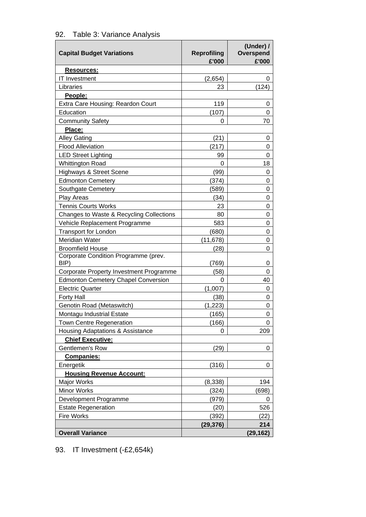| 92. Table 3: Variance Analysis |  |
|--------------------------------|--|
|--------------------------------|--|

| <b>Capital Budget Variations</b>             | <b>Reprofiling</b><br>£'000 | (Under) /<br>Overspend<br>£'000 |
|----------------------------------------------|-----------------------------|---------------------------------|
| Resources:                                   |                             |                                 |
| <b>IT Investment</b>                         | (2,654)                     | 0                               |
| Libraries                                    | 23                          | (124)                           |
| People:                                      |                             |                                 |
| Extra Care Housing: Reardon Court            | 119                         | 0                               |
| Education                                    | (107)                       | 0                               |
| <b>Community Safety</b>                      | 0                           | 70                              |
| Place:                                       |                             |                                 |
| <b>Alley Gating</b>                          | (21)                        | 0                               |
| <b>Flood Alleviation</b>                     | (217)                       | 0                               |
| <b>LED Street Lighting</b>                   | 99                          | 0                               |
| <b>Whittington Road</b>                      | 0                           | 18                              |
| <b>Highways &amp; Street Scene</b>           | (99)                        | 0                               |
| <b>Edmonton Cemetery</b>                     | (374)                       | 0                               |
| Southgate Cemetery                           | (589)                       | 0                               |
| Play Areas                                   | (34)                        | 0                               |
| <b>Tennis Courts Works</b>                   | 23                          | 0                               |
| Changes to Waste & Recycling Collections     | 80                          | 0                               |
| Vehicle Replacement Programme                | 583                         | 0                               |
| <b>Transport for London</b>                  | (680)                       | 0                               |
| Meridian Water                               | (11, 678)                   | 0                               |
| <b>Broomfield House</b>                      | (28)                        | 0                               |
| Corporate Condition Programme (prev.<br>BIP) | (769)                       | 0                               |
| Corporate Property Investment Programme      | (58)                        | 0                               |
| <b>Edmonton Cemetery Chapel Conversion</b>   | 0                           | 40                              |
| <b>Electric Quarter</b>                      | (1,007)                     | 0                               |
| <b>Forty Hall</b>                            | (38)                        | 0                               |
| Genotin Road (Metaswitch)                    | (1, 223)                    | 0                               |
| Montagu Industrial Estate                    | (165)                       | 0                               |
| <b>Town Centre Regeneration</b>              | (166)                       | 0                               |
| Housing Adaptations & Assistance             | 0                           | 209                             |
| <b>Chief Executive:</b>                      |                             |                                 |
| Gentlemen's Row                              | (29)                        | 0                               |
| <b>Companies:</b>                            |                             |                                 |
| Energetik                                    | (316)                       | 0                               |
| <b>Housing Revenue Account:</b>              |                             |                                 |
| Major Works                                  | (8, 338)                    | 194                             |
| <b>Minor Works</b>                           | (324)                       | (698)                           |
| Development Programme                        | (979)                       | 0                               |
| <b>Estate Regeneration</b>                   | (20)                        | 526                             |
| <b>Fire Works</b>                            | (392)                       | (22)                            |
|                                              | (29, 376)                   | 214                             |
| <b>Overall Variance</b>                      |                             | (29,162)                        |

93. IT Investment (-£2,654k)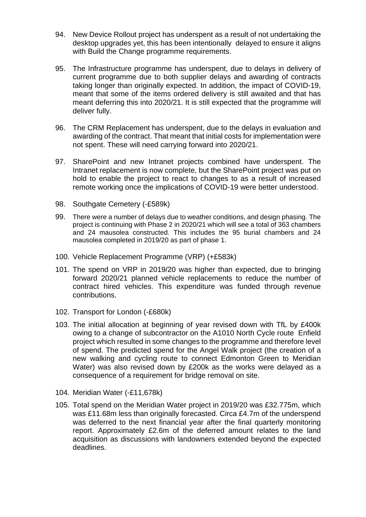- 94. New Device Rollout project has underspent as a result of not undertaking the desktop upgrades yet, this has been intentionally delayed to ensure it aligns with Build the Change programme requirements.
- 95. The Infrastructure programme has underspent, due to delays in delivery of current programme due to both supplier delays and awarding of contracts taking longer than originally expected. In addition, the impact of COVID-19, meant that some of the items ordered delivery is still awaited and that has meant deferring this into 2020/21. It is still expected that the programme will deliver fully.
- 96. The CRM Replacement has underspent, due to the delays in evaluation and awarding of the contract. That meant that initial costs for implementation were not spent. These will need carrying forward into 2020/21.
- 97. SharePoint and new Intranet projects combined have underspent. The Intranet replacement is now complete, but the SharePoint project was put on hold to enable the project to react to changes to as a result of increased remote working once the implications of COVID-19 were better understood.
- 98. Southgate Cemetery (-£589k)
- 99. There were a number of delays due to weather conditions, and design phasing. The project is continuing with Phase 2 in 2020/21 which will see a total of 363 chambers and 24 mausolea constructed. This includes the 95 burial chambers and 24 mausolea completed in 2019/20 as part of phase 1.
- 100. Vehicle Replacement Programme (VRP) (+£583k)
- 101. The spend on VRP in 2019/20 was higher than expected, due to bringing forward 2020/21 planned vehicle replacements to reduce the number of contract hired vehicles. This expenditure was funded through revenue contributions.
- 102. Transport for London (-£680k)
- 103. The initial allocation at beginning of year revised down with TfL by £400k owing to a change of subcontractor on the A1010 North Cycle route Enfield project which resulted in some changes to the programme and therefore level of spend. The predicted spend for the Angel Walk project (the creation of a new walking and cycling route to connect Edmonton Green to Meridian Water) was also revised down by £200k as the works were delayed as a consequence of a requirement for bridge removal on site.
- 104. Meridian Water (-£11,678k)
- 105. Total spend on the Meridian Water project in 2019/20 was £32.775m, which was £11.68m less than originally forecasted. Circa £4.7m of the underspend was deferred to the next financial year after the final quarterly monitoring report. Approximately £2.6m of the deferred amount relates to the land acquisition as discussions with landowners extended beyond the expected deadlines.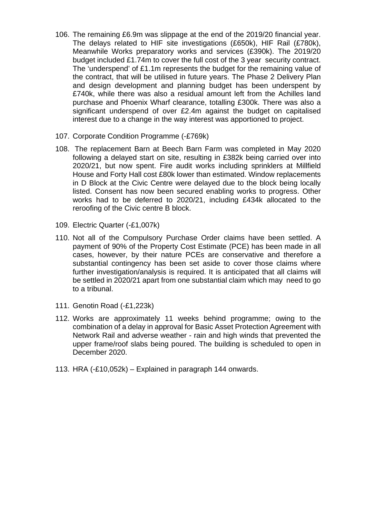- 106. The remaining £6.9m was slippage at the end of the 2019/20 financial year. The delays related to HIF site investigations (£650k), HIF Rail (£780k), Meanwhile Works preparatory works and services (£390k). The 2019/20 budget included £1.74m to cover the full cost of the 3 year security contract. The 'underspend' of £1.1m represents the budget for the remaining value of the contract, that will be utilised in future years. The Phase 2 Delivery Plan and design development and planning budget has been underspent by £740k, while there was also a residual amount left from the Achilles land purchase and Phoenix Wharf clearance, totalling £300k. There was also a significant underspend of over £2.4m against the budget on capitalised interest due to a change in the way interest was apportioned to project.
- 107. Corporate Condition Programme (-£769k)
- 108. The replacement Barn at Beech Barn Farm was completed in May 2020 following a delayed start on site, resulting in £382k being carried over into 2020/21, but now spent. Fire audit works including sprinklers at Millfield House and Forty Hall cost £80k lower than estimated. Window replacements in D Block at the Civic Centre were delayed due to the block being locally listed. Consent has now been secured enabling works to progress. Other works had to be deferred to 2020/21, including £434k allocated to the reroofing of the Civic centre B block.
- 109. Electric Quarter (-£1,007k)
- 110. Not all of the Compulsory Purchase Order claims have been settled. A payment of 90% of the Property Cost Estimate (PCE) has been made in all cases, however, by their nature PCEs are conservative and therefore a substantial contingency has been set aside to cover those claims where further investigation/analysis is required. It is anticipated that all claims will be settled in 2020/21 apart from one substantial claim which may need to go to a tribunal.
- 111. Genotin Road (-£1,223k)
- 112. Works are approximately 11 weeks behind programme; owing to the combination of a delay in approval for Basic Asset Protection Agreement with Network Rail and adverse weather - rain and high winds that prevented the upper frame/roof slabs being poured. The building is scheduled to open in December 2020.
- 113. HRA (-£10,052k) Explained in paragraph 144 onwards.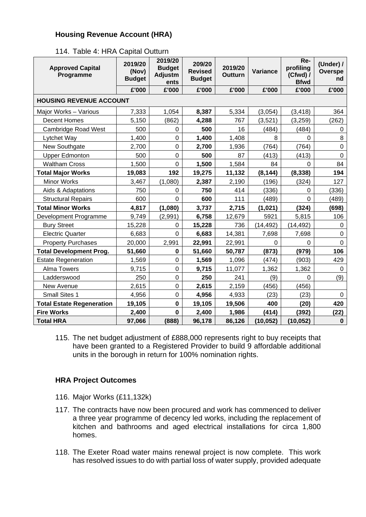## **Housing Revenue Account (HRA)**

|  |  |  |  | 114. Table 4: HRA Capital Outturn |
|--|--|--|--|-----------------------------------|
|--|--|--|--|-----------------------------------|

| <b>Approved Capital</b><br>Programme | 2019/20<br>(Nov)<br><b>Budget</b> | 2019/20<br><b>Budget</b><br>Adjustm<br>ents | 209/20<br><b>Revised</b><br><b>Budget</b> | 2019/20<br><b>Outturn</b> | Variance  | Re-<br>profiling<br>$(Cfwd)$ /<br><b>Bfwd</b> | (Under) /<br>Overspe<br>nd |
|--------------------------------------|-----------------------------------|---------------------------------------------|-------------------------------------------|---------------------------|-----------|-----------------------------------------------|----------------------------|
|                                      | £'000                             | £'000                                       | £'000                                     | £'000                     | £'000     | £'000                                         | £'000                      |
| <b>HOUSING REVENUE ACCOUNT</b>       |                                   |                                             |                                           |                           |           |                                               |                            |
| Major Works - Various                | 7,333                             | 1,054                                       | 8,387                                     | 5,334                     | (3,054)   | (3, 418)                                      | 364                        |
| <b>Decent Homes</b>                  | 5,150                             | (862)                                       | 4,288                                     | 767                       | (3,521)   | (3, 259)                                      | (262)                      |
| <b>Cambridge Road West</b>           | 500                               | 0                                           | 500                                       | 16                        | (484)     | (484)                                         | 0                          |
| Lytchet Way                          | 1,400                             | $\mathbf 0$                                 | 1,400                                     | 1,408                     | 8         | $\mathbf 0$                                   | 8                          |
| New Southgate                        | 2,700                             | $\mathbf 0$                                 | 2,700                                     | 1,936                     | (764)     | (764)                                         | $\pmb{0}$                  |
| <b>Upper Edmonton</b>                | 500                               | $\mathbf 0$                                 | 500                                       | 87                        | (413)     | (413)                                         | $\overline{0}$             |
| <b>Waltham Cross</b>                 | 1,500                             | $\overline{0}$                              | 1,500                                     | 1,584                     | 84        | $\Omega$                                      | 84                         |
| <b>Total Major Works</b>             | 19,083                            | 192                                         | 19,275                                    | 11,132                    | (8, 144)  | (8, 338)                                      | 194                        |
| <b>Minor Works</b>                   | 3,467                             | (1,080)                                     | 2,387                                     | 2,190                     | (196)     | (324)                                         | 127                        |
| Aids & Adaptations                   | 750                               | $\Omega$                                    | 750                                       | 414                       | (336)     | 0                                             | (336)                      |
| <b>Structural Repairs</b>            | 600                               | $\overline{0}$                              | 600                                       | 111                       | (489)     | $\overline{0}$                                | (489)                      |
| <b>Total Minor Works</b>             | 4,817                             | (1,080)                                     | 3,737                                     | 2,715                     | (1,021)   | (324)                                         | (698)                      |
| Development Programme                | 9,749                             | (2,991)                                     | 6,758                                     | 12,679                    | 5921      | 5,815                                         | 106                        |
| <b>Bury Street</b>                   | 15,228                            | 0                                           | 15,228                                    | 736                       | (14, 492) | (14, 492)                                     | 0                          |
| <b>Electric Quarter</b>              | 6,683                             | $\mathbf 0$                                 | 6,683                                     | 14,381                    | 7,698     | 7,698                                         | $\mathbf 0$                |
| <b>Property Purchases</b>            | 20,000                            | 2,991                                       | 22,991                                    | 22,991                    | 0         | $\Omega$                                      | $\mathbf 0$                |
| <b>Total Development Prog.</b>       | 51,660                            | $\mathbf 0$                                 | 51,660                                    | 50,787                    | (873)     | (979)                                         | 106                        |
| <b>Estate Regeneration</b>           | 1,569                             | $\pmb{0}$                                   | 1,569                                     | 1,096                     | (474)     | (903)                                         | 429                        |
| <b>Alma Towers</b>                   | 9,715                             | $\mathbf 0$                                 | 9,715                                     | 11,077                    | 1,362     | 1,362                                         | $\mathbf 0$                |
| Ladderswood                          | 250                               | $\mathbf 0$                                 | 250                                       | 241                       | (9)       | 0                                             | (9)                        |
| New Avenue                           | 2,615                             | $\pmb{0}$                                   | 2,615                                     | 2,159                     | (456)     | (456)                                         |                            |
| Small Sites 1                        | 4,956                             | $\pmb{0}$                                   | 4,956                                     | 4,933                     | (23)      | (23)                                          | 0                          |
| <b>Total Estate Regeneration</b>     | 19,105                            | $\mathbf 0$                                 | 19,105                                    | 19,506                    | 400       | (20)                                          | 420                        |
| <b>Fire Works</b>                    | 2,400                             | $\mathbf 0$                                 | 2,400                                     | 1,986                     | (414)     | (392)                                         | (22)                       |
| <b>Total HRA</b>                     | 97,066                            | (888)                                       | 96,178                                    | 86,126                    | (10, 052) | (10, 052)                                     | $\pmb{0}$                  |

115. The net budget adjustment of £888,000 represents right to buy receipts that have been granted to a Registered Provider to build 9 affordable additional units in the borough in return for 100% nomination rights.

#### **HRA Project Outcomes**

- 116. Major Works (£11,132k)
- 117. The contracts have now been procured and work has commenced to deliver a three year programme of decency led works, including the replacement of kitchen and bathrooms and aged electrical installations for circa 1,800 homes.
- 118. The Exeter Road water mains renewal project is now complete. This work has resolved issues to do with partial loss of water supply, provided adequate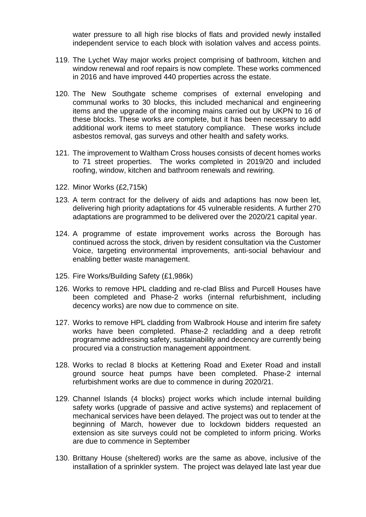water pressure to all high rise blocks of flats and provided newly installed independent service to each block with isolation valves and access points.

- 119. The Lychet Way major works project comprising of bathroom, kitchen and window renewal and roof repairs is now complete. These works commenced in 2016 and have improved 440 properties across the estate.
- 120. The New Southgate scheme comprises of external enveloping and communal works to 30 blocks, this included mechanical and engineering items and the upgrade of the incoming mains carried out by UKPN to 16 of these blocks. These works are complete, but it has been necessary to add additional work items to meet statutory compliance. These works include asbestos removal, gas surveys and other health and safety works.
- 121. The improvement to Waltham Cross houses consists of decent homes works to 71 street properties. The works completed in 2019/20 and included roofing, window, kitchen and bathroom renewals and rewiring.
- 122. Minor Works (£2,715k)
- 123. A term contract for the delivery of aids and adaptions has now been let, delivering high priority adaptations for 45 vulnerable residents. A further 270 adaptations are programmed to be delivered over the 2020/21 capital year.
- 124. A programme of estate improvement works across the Borough has continued across the stock, driven by resident consultation via the Customer Voice, targeting environmental improvements, anti-social behaviour and enabling better waste management.
- 125. Fire Works/Building Safety (£1,986k)
- 126. Works to remove HPL cladding and re-clad Bliss and Purcell Houses have been completed and Phase-2 works (internal refurbishment, including decency works) are now due to commence on site.
- 127. Works to remove HPL cladding from Walbrook House and interim fire safety works have been completed. Phase-2 recladding and a deep retrofit programme addressing safety, sustainability and decency are currently being procured via a construction management appointment.
- 128. Works to reclad 8 blocks at Kettering Road and Exeter Road and install ground source heat pumps have been completed. Phase-2 internal refurbishment works are due to commence in during 2020/21.
- 129. Channel Islands (4 blocks) project works which include internal building safety works (upgrade of passive and active systems) and replacement of mechanical services have been delayed. The project was out to tender at the beginning of March, however due to lockdown bidders requested an extension as site surveys could not be completed to inform pricing. Works are due to commence in September
- 130. Brittany House (sheltered) works are the same as above, inclusive of the installation of a sprinkler system. The project was delayed late last year due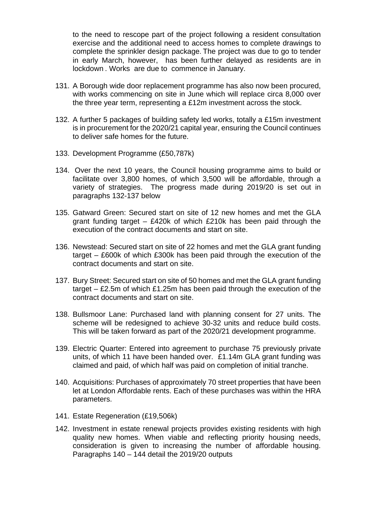to the need to rescope part of the project following a resident consultation exercise and the additional need to access homes to complete drawings to complete the sprinkler design package. The project was due to go to tender in early March, however, has been further delayed as residents are in lockdown . Works are due to commence in January.

- 131. A Borough wide door replacement programme has also now been procured, with works commencing on site in June which will replace circa 8,000 over the three year term, representing a £12m investment across the stock.
- 132. A further 5 packages of building safety led works, totally a £15m investment is in procurement for the 2020/21 capital year, ensuring the Council continues to deliver safe homes for the future.
- 133. Development Programme (£50,787k)
- 134. Over the next 10 years, the Council housing programme aims to build or facilitate over 3,800 homes, of which 3,500 will be affordable, through a variety of strategies. The progress made during 2019/20 is set out in paragraphs 132-137 below
- 135. Gatward Green: Secured start on site of 12 new homes and met the GLA grant funding target – £420k of which £210k has been paid through the execution of the contract documents and start on site.
- 136. Newstead: Secured start on site of 22 homes and met the GLA grant funding target – £600k of which £300k has been paid through the execution of the contract documents and start on site.
- 137. Bury Street: Secured start on site of 50 homes and met the GLA grant funding target – £2.5m of which £1.25m has been paid through the execution of the contract documents and start on site.
- 138. Bullsmoor Lane: Purchased land with planning consent for 27 units. The scheme will be redesigned to achieve 30-32 units and reduce build costs. This will be taken forward as part of the 2020/21 development programme.
- 139. Electric Quarter: Entered into agreement to purchase 75 previously private units, of which 11 have been handed over. £1.14m GLA grant funding was claimed and paid, of which half was paid on completion of initial tranche.
- 140. Acquisitions: Purchases of approximately 70 street properties that have been let at London Affordable rents. Each of these purchases was within the HRA parameters.
- 141. Estate Regeneration (£19,506k)
- 142. Investment in estate renewal projects provides existing residents with high quality new homes. When viable and reflecting priority housing needs, consideration is given to increasing the number of affordable housing. Paragraphs 140 – 144 detail the 2019/20 outputs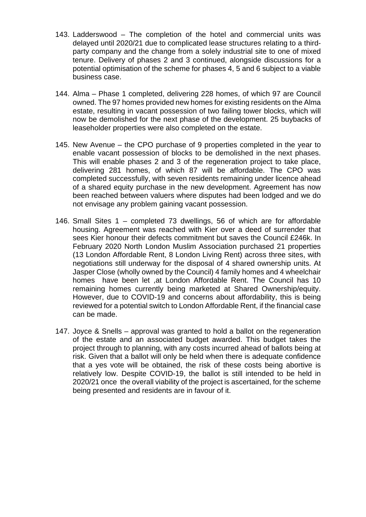- 143. Ladderswood The completion of the hotel and commercial units was delayed until 2020/21 due to complicated lease structures relating to a thirdparty company and the change from a solely industrial site to one of mixed tenure. Delivery of phases 2 and 3 continued, alongside discussions for a potential optimisation of the scheme for phases 4, 5 and 6 subject to a viable business case.
- 144. Alma Phase 1 completed, delivering 228 homes, of which 97 are Council owned. The 97 homes provided new homes for existing residents on the Alma estate, resulting in vacant possession of two failing tower blocks, which will now be demolished for the next phase of the development. 25 buybacks of leaseholder properties were also completed on the estate.
- 145. New Avenue the CPO purchase of 9 properties completed in the year to enable vacant possession of blocks to be demolished in the next phases. This will enable phases 2 and 3 of the regeneration project to take place, delivering 281 homes, of which 87 will be affordable. The CPO was completed successfully, with seven residents remaining under licence ahead of a shared equity purchase in the new development. Agreement has now been reached between valuers where disputes had been lodged and we do not envisage any problem gaining vacant possession.
- 146. Small Sites 1 completed 73 dwellings, 56 of which are for affordable housing. Agreement was reached with Kier over a deed of surrender that sees Kier honour their defects commitment but saves the Council £246k. In February 2020 North London Muslim Association purchased 21 properties (13 London Affordable Rent, 8 London Living Rent) across three sites, with negotiations still underway for the disposal of 4 shared ownership units. At Jasper Close (wholly owned by the Council) 4 family homes and 4 wheelchair homes have been let ,at London Affordable Rent. The Council has 10 remaining homes currently being marketed at Shared Ownership/equity. However, due to COVID-19 and concerns about affordability, this is being reviewed for a potential switch to London Affordable Rent, if the financial case can be made.
- 147. Joyce & Snells approval was granted to hold a ballot on the regeneration of the estate and an associated budget awarded. This budget takes the project through to planning, with any costs incurred ahead of ballots being at risk. Given that a ballot will only be held when there is adequate confidence that a yes vote will be obtained, the risk of these costs being abortive is relatively low. Despite COVID-19, the ballot is still intended to be held in 2020/21 once the overall viability of the project is ascertained, for the scheme being presented and residents are in favour of it.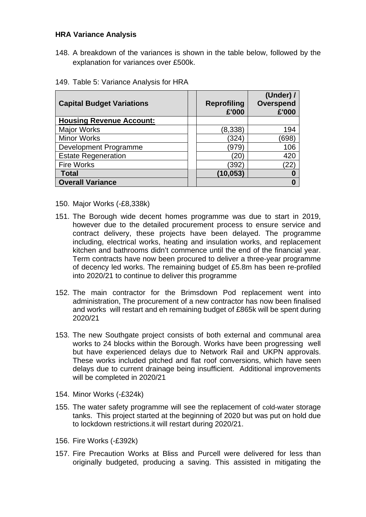### **HRA Variance Analysis**

148. A breakdown of the variances is shown in the table below, followed by the explanation for variances over £500k.

| <b>Capital Budget Variations</b> | <b>Reprofiling</b><br>£'000 | (Under) $/$<br>Overspend<br>£'000 |
|----------------------------------|-----------------------------|-----------------------------------|
| <b>Housing Revenue Account:</b>  |                             |                                   |
| <b>Major Works</b>               | (8,338)                     | 194                               |
| <b>Minor Works</b>               | (324)                       | (698)                             |
| Development Programme            | (979                        | 106                               |
| <b>Estate Regeneration</b>       | 20'                         | 420                               |
| <b>Fire Works</b>                | (392)                       | 22)                               |
| <b>Total</b>                     | (10, 053)                   |                                   |
| <b>Overall Variance</b>          |                             |                                   |

149. Table 5: Variance Analysis for HRA

- 150. Major Works (-£8,338k)
- 151. The Borough wide decent homes programme was due to start in 2019, however due to the detailed procurement process to ensure service and contract delivery, these projects have been delayed. The programme including, electrical works, heating and insulation works, and replacement kitchen and bathrooms didn't commence until the end of the financial year. Term contracts have now been procured to deliver a three-year programme of decency led works. The remaining budget of £5.8m has been re-profiled into 2020/21 to continue to deliver this programme
- 152. The main contractor for the Brimsdown Pod replacement went into administration, The procurement of a new contractor has now been finalised and works will restart and eh remaining budget of £865k will be spent during 2020/21
- 153. The new Southgate project consists of both external and communal area works to 24 blocks within the Borough. Works have been progressing well but have experienced delays due to Network Rail and UKPN approvals. These works included pitched and flat roof conversions, which have seen delays due to current drainage being insufficient. Additional improvements will be completed in 2020/21
- 154. Minor Works (-£324k)
- 155. The water safety programme will see the replacement of cold-water storage tanks. This project started at the beginning of 2020 but was put on hold due to lockdown restrictions.it will restart during 2020/21.
- 156. Fire Works (-£392k)
- 157. Fire Precaution Works at Bliss and Purcell were delivered for less than originally budgeted, producing a saving. This assisted in mitigating the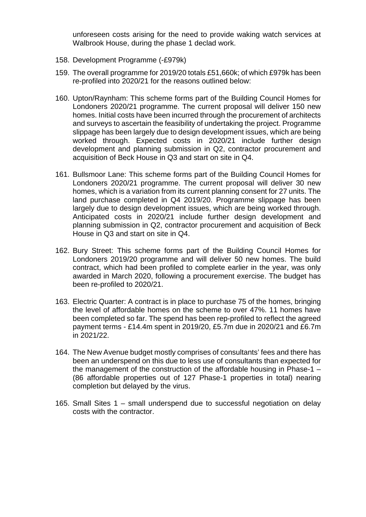unforeseen costs arising for the need to provide waking watch services at Walbrook House, during the phase 1 declad work.

- 158. Development Programme (-£979k)
- 159. The overall programme for 2019/20 totals £51,660k; of which £979k has been re-profiled into 2020/21 for the reasons outlined below:
- 160. Upton/Raynham: This scheme forms part of the Building Council Homes for Londoners 2020/21 programme. The current proposal will deliver 150 new homes. Initial costs have been incurred through the procurement of architects and surveys to ascertain the feasibility of undertaking the project. Programme slippage has been largely due to design development issues, which are being worked through. Expected costs in 2020/21 include further design development and planning submission in Q2, contractor procurement and acquisition of Beck House in Q3 and start on site in Q4.
- 161. Bullsmoor Lane: This scheme forms part of the Building Council Homes for Londoners 2020/21 programme. The current proposal will deliver 30 new homes, which is a variation from its current planning consent for 27 units. The land purchase completed in Q4 2019/20. Programme slippage has been largely due to design development issues, which are being worked through. Anticipated costs in 2020/21 include further design development and planning submission in Q2, contractor procurement and acquisition of Beck House in Q3 and start on site in Q4.
- 162. Bury Street: This scheme forms part of the Building Council Homes for Londoners 2019/20 programme and will deliver 50 new homes. The build contract, which had been profiled to complete earlier in the year, was only awarded in March 2020, following a procurement exercise. The budget has been re-profiled to 2020/21.
- 163. Electric Quarter: A contract is in place to purchase 75 of the homes, bringing the level of affordable homes on the scheme to over 47%. 11 homes have been completed so far. The spend has been rep-profiled to reflect the agreed payment terms - £14.4m spent in 2019/20, £5.7m due in 2020/21 and £6.7m in 2021/22.
- 164. The New Avenue budget mostly comprises of consultants' fees and there has been an underspend on this due to less use of consultants than expected for the management of the construction of the affordable housing in Phase-1 – (86 affordable properties out of 127 Phase-1 properties in total) nearing completion but delayed by the virus.
- 165. Small Sites 1 small underspend due to successful negotiation on delay costs with the contractor.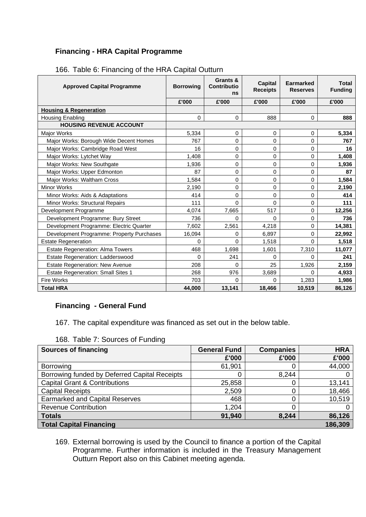# **Financing - HRA Capital Programme**

| <b>Approved Capital Programme</b>         | <b>Borrowing</b> | Grants &<br><b>Contributio</b><br>ns | <b>Capital</b><br><b>Receipts</b> | <b>Earmarked</b><br><b>Reserves</b> | <b>Total</b><br><b>Funding</b> |
|-------------------------------------------|------------------|--------------------------------------|-----------------------------------|-------------------------------------|--------------------------------|
|                                           | £'000            | £'000                                | £'000                             | £'000                               | £'000                          |
| <b>Housing &amp; Regeneration</b>         |                  |                                      |                                   |                                     |                                |
| Housing Enabling                          | 0                | 0                                    | 888                               | $\Omega$                            | 888                            |
| <b>HOUSING REVENUE ACCOUNT</b>            |                  |                                      |                                   |                                     |                                |
| Major Works                               | 5,334            | 0                                    | 0                                 | 0                                   | 5,334                          |
| Major Works: Borough Wide Decent Homes    | 767              | 0                                    | 0                                 | 0                                   | 767                            |
| Major Works: Cambridge Road West          | 16               | 0                                    | 0                                 | 0                                   | 16                             |
| Major Works: Lytchet Way                  | 1,408            | 0                                    | 0                                 | 0                                   | 1,408                          |
| Major Works: New Southgate                | 1,936            | 0                                    | 0                                 | 0                                   | 1,936                          |
| Major Works: Upper Edmonton               | 87               | 0                                    | 0                                 | 0                                   | 87                             |
| Major Works: Waltham Cross                | 1,584            | 0                                    | 0                                 | 0                                   | 1,584                          |
| <b>Minor Works</b>                        | 2,190            | 0                                    | 0                                 | 0                                   | 2,190                          |
| Minor Works: Aids & Adaptations           | 414              | 0                                    | 0                                 | 0                                   | 414                            |
| Minor Works: Structural Repairs           | 111              | 0                                    | 0                                 | 0                                   | 111                            |
| Development Programme                     | 4,074            | 7,665                                | 517                               | 0                                   | 12,256                         |
| Development Programme: Bury Street        | 736              | 0                                    | $\Omega$                          | 0                                   | 736                            |
| Development Programme: Electric Quarter   | 7,602            | 2,561                                | 4,218                             | 0                                   | 14,381                         |
| Development Programme: Property Purchases | 16,094           | 0                                    | 6,897                             | 0                                   | 22,992                         |
| <b>Estate Regeneration</b>                | $\Omega$         | $\Omega$                             | 1,518                             | $\Omega$                            | 1,518                          |
| <b>Estate Regeneration: Alma Towers</b>   | 468              | 1,698                                | 1,601                             | 7,310                               | 11,077                         |
| <b>Estate Regeneration: Ladderswood</b>   | 0                | 241                                  | 0                                 | $\Omega$                            | 241                            |
| <b>Estate Regeneration: New Avenue</b>    | 208              | $\Omega$                             | 25                                | 1,926                               | 2,159                          |
| <b>Estate Regeneration: Small Sites 1</b> | 268              | 976                                  | 3,689                             | 0                                   | 4,933                          |
| <b>Fire Works</b>                         | 703              | 0                                    | <sup>0</sup>                      | 1,283                               | 1,986                          |
| <b>Total HRA</b>                          | 44,000           | 13,141                               | 18,466                            | 10,519                              | 86,126                         |

166. Table 6: Financing of the HRA Capital Outturn

# **Financing - General Fund**

167. The capital expenditure was financed as set out in the below table.

| TOO. TADI <del>C</del> 7. SOUTCES OF FUITURING |                     |                  |                |  |  |  |  |
|------------------------------------------------|---------------------|------------------|----------------|--|--|--|--|
| <b>Sources of financing</b>                    | <b>General Fund</b> | <b>Companies</b> | <b>HRA</b>     |  |  |  |  |
|                                                | £'000               | £'000            | £'000          |  |  |  |  |
| <b>Borrowing</b>                               | 61,901              |                  | 44,000         |  |  |  |  |
| Borrowing funded by Deferred Capital Receipts  | 0                   | 8,244            | $\overline{0}$ |  |  |  |  |
| <b>Capital Grant &amp; Contributions</b>       | 25,858              |                  | 13,141         |  |  |  |  |
| <b>Capital Receipts</b>                        | 2,509               |                  | 18,466         |  |  |  |  |
| <b>Earmarked and Capital Reserves</b>          | 468                 |                  | 10,519         |  |  |  |  |
| <b>Revenue Contribution</b>                    | 1,204               |                  | 0              |  |  |  |  |
| <b>Totals</b>                                  | 91,940              | 8,244            | 86,126         |  |  |  |  |
| 186,309<br><b>Total Capital Financing</b>      |                     |                  |                |  |  |  |  |

168. Table 7: Sources of Funding

169. External borrowing is used by the Council to finance a portion of the Capital Programme. Further information is included in the Treasury Management Outturn Report also on this Cabinet meeting agenda.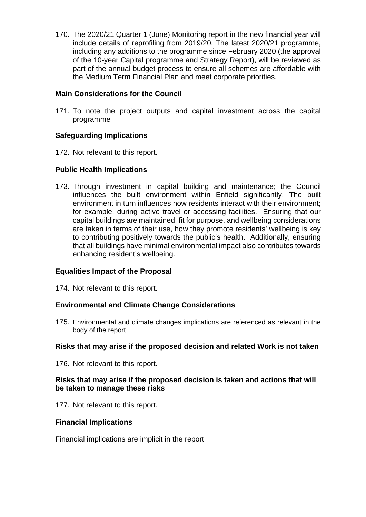170. The 2020/21 Quarter 1 (June) Monitoring report in the new financial year will include details of reprofiling from 2019/20. The latest 2020/21 programme, including any additions to the programme since February 2020 (the approval of the 10-year Capital programme and Strategy Report), will be reviewed as part of the annual budget process to ensure all schemes are affordable with the Medium Term Financial Plan and meet corporate priorities.

### **Main Considerations for the Council**

171. To note the project outputs and capital investment across the capital programme

#### **Safeguarding Implications**

172. Not relevant to this report.

### **Public Health Implications**

173. Through investment in capital building and maintenance; the Council influences the built environment within Enfield significantly. The built environment in turn influences how residents interact with their environment; for example, during active travel or accessing facilities. Ensuring that our capital buildings are maintained, fit for purpose, and wellbeing considerations are taken in terms of their use, how they promote residents' wellbeing is key to contributing positively towards the public's health. Additionally, ensuring that all buildings have minimal environmental impact also contributes towards enhancing resident's wellbeing.

#### **Equalities Impact of the Proposal**

174. Not relevant to this report.

#### **Environmental and Climate Change Considerations**

175. Environmental and climate changes implications are referenced as relevant in the body of the report

#### **Risks that may arise if the proposed decision and related Work is not taken**

176. Not relevant to this report.

#### **Risks that may arise if the proposed decision is taken and actions that will be taken to manage these risks**

177. Not relevant to this report.

#### **Financial Implications**

Financial implications are implicit in the report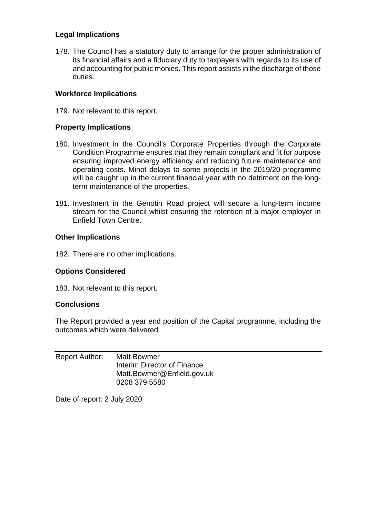### **Legal Implications**

178. The Council has a statutory duty to arrange for the proper administration of its financial affairs and a fiduciary duty to taxpayers with regards to its use of and accounting for public monies. This report assists in the discharge of those duties.

### **Workforce Implications**

179. Not relevant to this report.

### **Property Implications**

- 180. Investment in the Council's Corporate Properties through the Corporate Condition Programme ensures that they remain compliant and fit for purpose ensuring improved energy efficiency and reducing future maintenance and operating costs. Minot delays to some projects in the 2019/20 programme will be caught up in the current financial year with no detriment on the longterm maintenance of the properties.
- 181. Investment in the Genotin Road project will secure a long-term income stream for the Council whilst ensuring the retention of a major employer in Enfield Town Centre.

#### **Other Implications**

182. There are no other implications.

#### **Options Considered**

183. Not relevant to this report.

#### **Conclusions**

The Report provided a year end position of the Capital programme, including the outcomes which were delivered

| Report Author: | <b>Matt Bowmer</b>          |
|----------------|-----------------------------|
|                | Interim Director of Finance |
|                | Matt.Bowmer@Enfield.gov.uk  |
|                | 0208 379 5580               |

Date of report: 2 July 2020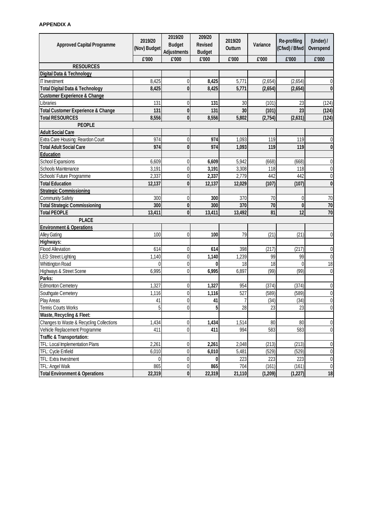# **APPENDIX A**

| <b>Approved Capital Programme</b>             | 2019/20<br>(Nov) Budget | 2019/20<br><b>Budget</b> | 209/20<br><b>Revised</b> | 2019/20<br>Outturn | <b>Variance</b> | <b>Re-profiling</b><br>(Cfwd) / Bfwd | (Under) /<br>Overspend |
|-----------------------------------------------|-------------------------|--------------------------|--------------------------|--------------------|-----------------|--------------------------------------|------------------------|
|                                               |                         | <b>Adjustments</b>       | <b>Budget</b>            |                    |                 |                                      |                        |
|                                               | £'000                   | £'000                    | £'000                    | £'000              | £'000           | £'000                                | £'000                  |
| <b>RESOURCES</b>                              |                         |                          |                          |                    |                 |                                      |                        |
| Digital Data & Technology                     |                         |                          |                          |                    |                 |                                      |                        |
| <b>IT</b> Investment                          | 8,425                   | 0                        | 8,425                    | 5,771              | (2,654)         | (2,654)                              | 0                      |
| <b>Total Digital Data &amp; Technology</b>    | 8,425                   | 0                        | 8,425                    | 5,771              | (2,654)         | (2,654)                              | $\boldsymbol{0}$       |
| <b>Customer Experience &amp; Change</b>       |                         |                          |                          |                    |                 |                                      |                        |
| Libraries                                     | 131                     | 0                        | 131                      | 30                 | (101)           | 23                                   | (124)                  |
| <b>Total Customer Experience &amp; Change</b> | 131                     | 0                        | 131                      | 30                 | (101)           | 23                                   | (124)                  |
| <b>Total RESOURCES</b>                        | 8,556                   | $\boldsymbol{0}$         | 8,556                    | 5,802              | (2,754)         | (2,631)                              | (124)                  |
| <b>PEOPLE</b>                                 |                         |                          |                          |                    |                 |                                      |                        |
| <b>Adult Social Care</b>                      |                         |                          |                          |                    |                 |                                      |                        |
| Extra Care Housing: Reardon Court             | 974                     | 0                        | 974                      | 1,093              | 119             | 119                                  | 0                      |
| <b>Total Adult Social Care</b>                | 974                     | 0                        | 974                      | 1,093              | 119             | 119                                  | $\boldsymbol{0}$       |
| <b>Education</b>                              |                         |                          |                          |                    |                 |                                      |                        |
| School Expansions                             | 6,609                   | 0                        | 6,609                    | 5,942              | (668)           | (668)                                | $\boldsymbol{0}$       |
| <b>Schools Maintenance</b>                    | 3,191                   | 0                        | 3,191                    | 3,308              | 118             | 118                                  | $\pmb{0}$              |
| Schools' Future Programme                     | 2,337                   | 0                        | 2,337                    | 2,779              | 442             | 442                                  | $\pmb{0}$              |
| <b>Total Education</b>                        | 12,137                  | 0                        | 12,137                   | 12,029             | (107)           | (107)                                | $\boldsymbol{0}$       |
| <b>Strategic Commissioning</b>                |                         |                          |                          |                    |                 |                                      |                        |
| <b>Community Safety</b>                       | 300                     | 0                        | 300                      | 370                | 70              | $\mathbf 0$                          | 70                     |
| <b>Total Strategic Commissioning</b>          | 300                     | $\boldsymbol{0}$         | 300                      | 370                | 70              | $\mathbf 0$                          | 70                     |
| <b>Total PEOPLE</b>                           | 13,411                  | 0                        | 13,411                   | 13,492             | 81              | 12                                   | 70                     |
| <b>PLACE</b>                                  |                         |                          |                          |                    |                 |                                      |                        |
| <b>Environment &amp; Operations</b>           |                         |                          |                          |                    |                 |                                      |                        |
| <b>Alley Gating</b>                           | 100                     | 0                        | 100                      | 79                 | (21)            | (21)                                 | 0                      |
| Highways:                                     |                         |                          |                          |                    |                 |                                      |                        |
| <b>Flood Alleviation</b>                      | 614                     | 0                        | 614                      | 398                | (217)           | (217)                                | $\boldsymbol{0}$       |
| <b>LED Street Lighting</b>                    | 1,140                   | 0                        | 1,140                    | 1,239              | 99              | 99                                   | $\pmb{0}$              |
| <b>Whittington Road</b>                       |                         | 0                        | 0                        | 18                 | 18              |                                      | 18                     |
| Highways & Street Scene                       | 6,995                   | 0                        | 6,995                    | 6,897              | (99)            | (99)                                 | $\pmb{0}$              |
| Parks:                                        |                         |                          |                          |                    |                 |                                      |                        |
| <b>Edmonton Cemetery</b>                      | 1,327                   | 0                        | 1,327                    | 954                | (374)           | (374)                                | 0                      |
| Southgate Cemetery                            | 1,116                   | 0                        | 1,116                    | 527                | (589)           | (589)                                | 0                      |
| <b>Play Areas</b>                             | 41                      | 0                        | 41                       | 7                  | (34)            | (34)                                 | 0                      |
| <b>Tennis Courts Works</b>                    | 5                       | 0                        | 5                        | 28                 | 23              | 23                                   | $\pmb{0}$              |
| <b>Waste, Recycling &amp; Fleet:</b>          |                         |                          |                          |                    |                 |                                      |                        |
| Changes to Waste & Recycling Collections      | 1,434                   | 0                        | 1,434                    | 1,514              | 80              | 80                                   | 0                      |
| Vehicle Replacement Programme                 | 411                     | 0                        | 411                      | 994                | 583             | 583                                  | 0                      |
| <b>Traffic &amp; Transportation:</b>          |                         |                          |                          |                    |                 |                                      |                        |
| TFL: Local Implementation Plans               | 2,261                   | 0                        | 2,261                    | 2,048              | (213)           | (213)                                | $\pmb{0}$              |
| TFL: Cycle Enfield                            | 6,010                   | 0                        | 6,010                    | 5,481              | (529)           | (529)                                | $\pmb{0}$              |
| TFL: Extra Investment                         |                         | 0                        | 0                        | 223                | 223             | 223                                  | $\pmb{0}$              |
| TFL: Angel Walk                               | 865                     | 0                        | 865                      | 704                | (161)           | (161)                                | $\mathbf 0$            |
| <b>Total Environment &amp; Operations</b>     | 22,319                  | $\boldsymbol{0}$         | 22,319                   | 21,110             | (1, 209)        | (1, 227)                             | 18                     |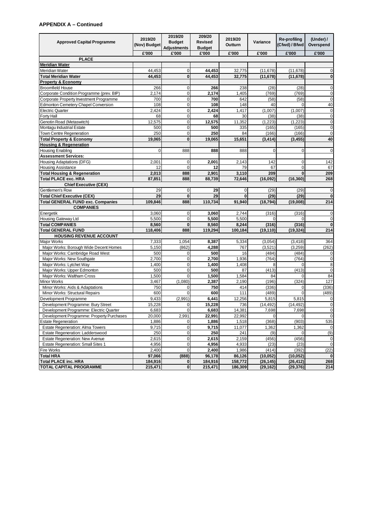# **APPENDIX A – Continued**

|                                            | 2019/20      | 2019/20            | 209/20         | 2019/20        |                 | <b>Re-profiling</b> | (Under) $/$      |
|--------------------------------------------|--------------|--------------------|----------------|----------------|-----------------|---------------------|------------------|
| <b>Approved Capital Programme</b>          | (Nov) Budget | <b>Budget</b>      | <b>Revised</b> | <b>Outturn</b> | <b>Variance</b> | (Cfwd) / Bfwd       | Overspend        |
|                                            |              | <b>Adjustments</b> | <b>Budget</b>  |                |                 |                     |                  |
| <b>PLACE</b>                               | £'000        | £'000              | £'000          | £'000          | £'000           | £'000               | £'000            |
| <b>Meridian Water</b>                      |              |                    |                |                |                 |                     |                  |
| Meridian Water                             | 44,453       | 0                  | 44,453         | 32,775         | (11, 678)       | (11, 678)           | $\overline{0}$   |
| <b>Total Meridian Water</b>                | 44,453       | $\bf{0}$           | 44,453         | 32,775         | (11, 678)       | (11, 678)           | $\boldsymbol{0}$ |
| <b>Property &amp; Economy</b>              |              |                    |                |                |                 |                     |                  |
| <b>Broomfield House</b>                    | 266          | 0                  | 266            | 238            | (28)            | (28)                | $\overline{0}$   |
| Corporate Condition Programme (prev. BIP)  | 2,174        | 0                  | 2,174          | 1,405          | (769)           | (769)               | $\boldsymbol{0}$ |
| Corporate Property Investment Programme    | 700          | 0                  | 700            | 642            | (58)            | (58)                | $\overline{0}$   |
| <b>Edmonton Cemetery Chapel Conversion</b> | 108          | 0                  | 108            | 148            | 40              |                     | 40               |
| <b>Electric Quarter</b>                    | 2,424        | $\overline{0}$     | 2,424          | 1,417          | (1,007)         | (1,007)             | $\boldsymbol{0}$ |
| Forty Hall                                 | 68           | 0                  | 68             | 30             | (38)            | (38)                | $\overline{0}$   |
| Genotin Road (Metaswitch)                  |              | 0                  |                |                |                 |                     |                  |
|                                            | 12,575       |                    | 12,575         | 11,352         | (1, 223)        | (1,223)             | $\boldsymbol{0}$ |
| Montagu Industrial Estate                  | 500          | 0                  | 500            | 335            | (165)           | (165)               | $\boldsymbol{0}$ |
| Town Centre Regeneration                   | 250          | 0                  | 250            | 84             | (166)           | (166)               | $\overline{0}$   |
| <b>Total Property &amp; Economy</b>        | 19,065       | $\mathbf{0}$       | 19,065         | 15,651         | (3, 414)        | (3, 455)            | 40               |
| <b>Housing &amp; Regeneration</b>          |              |                    |                |                |                 |                     |                  |
| Housing Enabling                           | 0            | 888                | 888            | 888            | $\Omega$        | $\Omega$            | $\overline{0}$   |
| <b>Assessment Services:</b>                |              |                    |                |                |                 |                     |                  |
| Housing Adaptations (DFG)                  | 2,001        | 0                  | 2,001          | 2,143          | 142             | 0                   | 142              |
| Housing Assistance                         | 12           | 0                  | 12             | 79             | 67              | 0                   | 67               |
| <b>Total Housing &amp; Regeneration</b>    | 2,013        | 888                | 2,901          | 3,110          | 209             | $\Omega$            | 209              |
| <b>Total PLACE exc. HRA</b>                | 87,851       | 888                | 88,739         | 72,646         | (16,092)        | (16, 360)           | 268              |
| <b>Chief Executive (CEX)</b>               |              |                    |                |                |                 |                     |                  |
| Gentlemen's Row                            | 29           | 0                  | 29             | $\mathbf 0$    | (29)            | (29)                | $\boldsymbol{0}$ |
| <b>Total Chief Executive (CEX)</b>         | 29           | $\bf{0}$           | 29             | $\bf{0}$       | (29)            | (29)                | $\boldsymbol{0}$ |
| <b>Total GENERAL FUND exc. Companies</b>   | 109,846      | 888                | 110,734        | 91,940         | (18, 794)       | (19,008)            | 214              |
| <b>COMPANIES</b>                           |              |                    |                |                |                 |                     |                  |
| Energetik                                  | 3,060        | 0                  | 3,060          | 2,744          | (316)           | (316)               | $\overline{0}$   |
| Housing Gateway Ltd                        | 5,500        | 0                  | 5,500          | 5,500          | $\Omega$        |                     | $\overline{0}$   |
| <b>Total COMPANIES</b>                     | 8,560        | $\bf{0}$           | 8,560          | 8,244          | (316)           | (316)               | $\boldsymbol{0}$ |
| <b>Total GENERAL FUND</b>                  | 118,406      | 888                | 119,294        | 100,184        | (19, 110)       | (19, 324)           | 214              |
| <b>HOUSING REVENUE ACCOUNT</b>             |              |                    |                |                |                 |                     |                  |
| Major Works                                | 7,333        | 1,054              | 8,387          | 5,334          | (3,054)         | (3, 418)            | 364              |
| Major Works: Borough Wide Decent Homes     | 5,150        | (862)              | 4,288          | 767            | (3,521)         | (3,259)             | (262)            |
| Major Works: Cambridge Road West           | 500          | 0                  | 500            | 16             | (484)           | (484)               | 0                |
| Major Works: New Southgate                 | 2,700        | 0                  | 2,700          | 1,936          | (764)           | (764)               | $\overline{0}$   |
| Major Works: Lytchet Way                   | 1,400        | 0                  | 1,400          | 1,408          |                 |                     | $\bf 8$          |
| Major Works: Upper Edmonton                | 500          | 0                  | 500            | 87             | (413)           | (413)               | $\overline{0}$   |
| Major Works: Waltham Cross                 | 1,500        | 0                  | 1,500          | 1,584          | 84              |                     | 84               |
| Minor Works                                | 3,467        | (1,080)            | 2,387          | 2,190          | (196)           | (324)               | 127              |
| Minor Works: Aids & Adaptations            | 750          | 0                  | 750            | 414            | (336)           | 0                   | (336)            |
| Minor Works: Structural Repairs            | 600          | 0                  | 600            | 111            | (489)           |                     | (489)            |
| Development Programme                      | 9,433        | (2,991)            | 6,441          | 12,256         | 5,815           | 5,815               | 0                |
| Development Programme: Bury Street         | 15,228       |                    | 15,228         | 736            | (14, 492)       | (14, 492)           | $\overline{0}$   |
| Development Programme: Electric Quarter    | 6,683        |                    | 6,683          | 14,381         | 7,698           | 7,698               | $\overline{0}$   |
| Development Programme: Property Purchases  | 20,000       | 2,991              | 22,991         | 22,992         |                 |                     | 0                |
| <b>Estate Regeneration</b>                 | 1,886        | 0                  | 1,886          | 1,518          | (368)           | (903)               | 535              |
| <b>Estate Regeneration: Alma Towers</b>    | 9,715        | 0                  | 9,715          | 11,077         | 1,362           | 1,362               | 0                |
| <b>Estate Regeneration: Ladderswood</b>    | 250          | 0                  | 250            | 241            | (9)             |                     | (9)              |
| Estate Regeneration: New Avenue            | 2,615        | 0                  | 2,615          | 2,159          | (456)           | (456)               | $\overline{0}$   |
| <b>Estate Regeneration: Small Sites 1</b>  | 4,956        | 0                  | 4,956          | 4,933          | (23)            | (23)                | 0                |
| Fire Works                                 | 2,400        | 0                  | 2,400          | 1,986          | (414)           | (392)               | (22)             |
| <b>Total HRA</b>                           | 97,066       | (888)              | 96,178         | 86,126         | (10, 052)       | (10, 052)           | 0                |
| <b>Total PLACE inc. HRA</b>                | 184,916      | 0                  | 184,916        | 158,772        | (26, 145)       | (26, 412)           | 268              |
| <b>TOTAL CAPITAL PROGRAMME</b>             | 215,471      | $\mathbf 0$        | 215,471        | 186,309        | (29, 162)       | (29, 376)           | 214              |